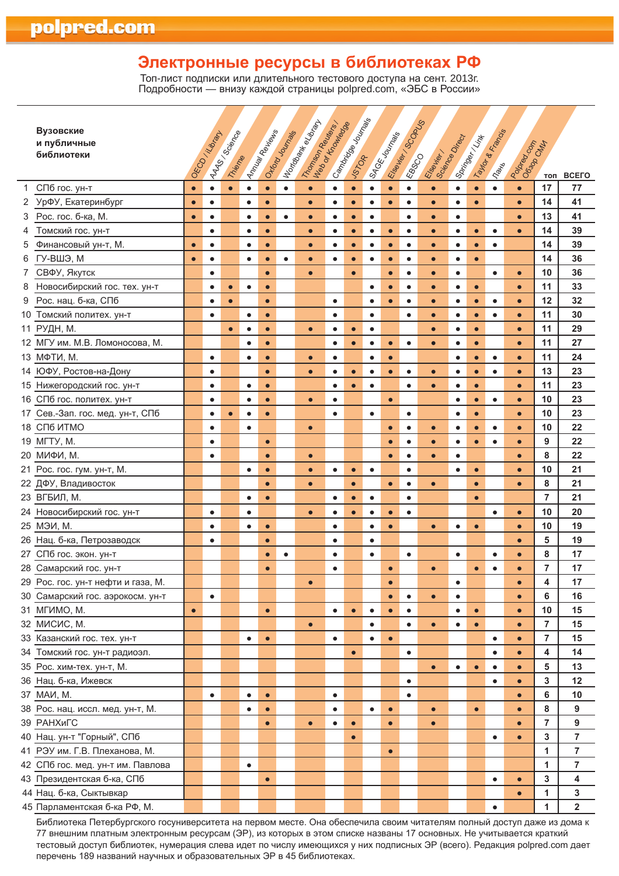# **Электронные ресурсы в библиотеках РФ**

Топ-лист подписки или длительного тестового доступа на сент. 2013г. Подробности — внизу каждой страницы polpred.com, «ЭБС <sup>в</sup> России»

|    | Вузовские<br>и публичные<br>библиотеки |           | <b>AAST SORRING</b><br>OECO /Library | Thieme    |           | Amusic Republican | Ongroup   | I tordame et disap-<br>Transport Reviser |           | Cambridge Monte |           | SAGE Journals | Eserier Scopes | Elsewier, Nieder |           | Springer / Vint | Taylor & Francis | Participal Carpenter | топ            | <b>BCEFO</b>            |
|----|----------------------------------------|-----------|--------------------------------------|-----------|-----------|-------------------|-----------|------------------------------------------|-----------|-----------------|-----------|---------------|----------------|------------------|-----------|-----------------|------------------|----------------------|----------------|-------------------------|
| 1  | СПб гос. ун-т                          | $\bullet$ | $\bullet$                            | $\bullet$ | $\bullet$ | $\bullet$         | $\bullet$ | $\bullet$                                | $\bullet$ | $\bullet$       | $\bullet$ | $\bullet$     | $\bullet$      | $\bullet$        | $\bullet$ | $\bullet$       | $\bullet$        | $\bullet$            | 17             | 77                      |
| 2  | УрФУ, Екатеринбург                     | $\bullet$ | $\bullet$                            |           | $\bullet$ | $\bullet$         |           | $\bullet$                                | $\bullet$ | $\bullet$       | $\bullet$ | $\bullet$     | $\bullet$      | $\bullet$        | $\bullet$ | $\bullet$       |                  | $\bullet$            | 14             | 41                      |
| 3  | Рос. гос. б-ка, М.                     | $\bullet$ | $\bullet$                            |           | $\bullet$ | $\bullet$         | $\bullet$ | $\bullet$                                | $\bullet$ | $\bullet$       | $\bullet$ |               | $\bullet$      | $\bullet$        | $\bullet$ |                 |                  | $\bullet$            | 13             | 41                      |
| 4  | Томский гос. ун-т                      |           | $\bullet$                            |           | $\bullet$ | $\bullet$         |           | $\bullet$                                | $\bullet$ | $\bullet$       | $\bullet$ | $\bullet$     | $\bullet$      | $\bullet$        | $\bullet$ | $\bullet$       | $\bullet$        | $\bullet$            | 14             | 39                      |
| 5  | Финансовый ун-т, М.                    | $\bullet$ | $\bullet$                            |           | $\bullet$ | $\bullet$         |           | $\bullet$                                | $\bullet$ | $\bullet$       | $\bullet$ | $\bullet$     | $\bullet$      | $\bullet$        | $\bullet$ | $\bullet$       | $\bullet$        |                      | 14             | 39                      |
| 6  | ГУ-ВШЭ, М                              | $\bullet$ | $\bullet$                            |           | $\bullet$ | $\bullet$         | $\bullet$ | $\bullet$                                | $\bullet$ | $\bullet$       | $\bullet$ | $\bullet$     | $\bullet$      | $\bullet$        | $\bullet$ | $\bullet$       |                  |                      | 14             | 36                      |
| 7  | СВФУ, Якутск                           |           | $\bullet$                            |           |           | $\bullet$         |           | $\bullet$                                |           | $\bullet$       |           | $\bullet$     | $\bullet$      | $\bullet$        | $\bullet$ |                 | $\bullet$        | $\bullet$            | 10             | 36                      |
| 8  | Новосибирский гос. тех. ун-т           |           | $\bullet$                            | $\bullet$ | $\bullet$ | $\bullet$         |           |                                          |           |                 | $\bullet$ | $\bullet$     | $\bullet$      | $\bullet$        | $\bullet$ | $\bullet$       |                  | $\bullet$            | 11             | 33                      |
| 9  | Рос. нац. б-ка, СПб                    |           | $\bullet$                            | $\bullet$ |           | $\bullet$         |           |                                          | $\bullet$ |                 | $\bullet$ | $\bullet$     | $\bullet$      | $\bullet$        | $\bullet$ | $\bullet$       | $\bullet$        | $\bullet$            | 12             | 32                      |
| 10 | Томский политех. ун-т                  |           | $\bullet$                            |           | $\bullet$ | $\bullet$         |           |                                          | $\bullet$ |                 | $\bullet$ |               | $\bullet$      | $\bullet$        | $\bullet$ | $\bullet$       | $\bullet$        | $\bullet$            | 11             | 30                      |
|    | 11 РУДН, М.                            |           |                                      | $\bullet$ | ٠         | $\bullet$         |           | $\bullet$                                | $\bullet$ | $\bullet$       | $\bullet$ |               |                | $\bullet$        | $\bullet$ | $\bullet$       |                  | $\bullet$            | 11             | 29                      |
|    | 12 МГУ им. М.В. Ломоносова, М.         |           |                                      |           | $\bullet$ | $\bullet$         |           |                                          | $\bullet$ | $\bullet$       | $\bullet$ | $\bullet$     | $\bullet$      | $\bullet$        | $\bullet$ | $\bullet$       |                  | $\bullet$            | 11             | 27                      |
|    | 13 МФТИ, М.                            |           | $\bullet$                            |           | $\bullet$ | $\bullet$         |           | $\bullet$                                | $\bullet$ |                 | $\bullet$ | $\bullet$     |                |                  | $\bullet$ | $\bullet$       | $\bullet$        | $\bullet$            | 11             | 24                      |
|    | 14 ЮФУ, Ростов-на-Дону                 |           | $\bullet$                            |           |           | $\bullet$         |           | $\bullet$                                | $\bullet$ | $\bullet$       | $\bullet$ | $\bullet$     | $\bullet$      | $\bullet$        | $\bullet$ | $\bullet$       | $\bullet$        | $\bullet$            | 13             | 23                      |
|    | 15 Нижегородский гос. ун-т             |           | $\bullet$                            |           | $\bullet$ | $\bullet$         |           |                                          | $\bullet$ | $\bullet$       | $\bullet$ |               | $\bullet$      | $\bullet$        | $\bullet$ | $\bullet$       |                  | $\bullet$            | 11             | 23                      |
|    | 16 СПб гос. политех. ун-т              |           | $\bullet$                            |           | $\bullet$ | $\bullet$         |           | $\bullet$                                | $\bullet$ |                 |           | $\bullet$     |                |                  | $\bullet$ | $\bullet$       | $\bullet$        | $\bullet$            | 10             | 23                      |
|    | 17 Сев.-Зап. гос. мед. ун-т, СПб       |           | $\bullet$                            | $\bullet$ | $\bullet$ | $\bullet$         |           |                                          | $\bullet$ |                 | $\bullet$ |               | $\bullet$      |                  | $\bullet$ | $\bullet$       |                  | $\bullet$            | 10             | 23                      |
|    | 18 CN6 MTMO                            |           | $\bullet$                            |           | $\bullet$ |                   |           | $\bullet$                                |           |                 |           | $\bullet$     | $\bullet$      | $\bullet$        | $\bullet$ | $\bullet$       | $\bullet$        | $\bullet$            | 10             | 22                      |
|    | 19 MFTY, M.                            |           | $\bullet$                            |           |           | $\bullet$         |           |                                          |           |                 |           | $\bullet$     | $\bullet$      | $\bullet$        | $\bullet$ | $\bullet$       | $\bullet$        | $\bullet$            | 9              | 22                      |
|    | 20 МИФИ, М.                            |           | $\bullet$                            |           |           | $\bullet$         |           | $\bullet$                                |           |                 |           | $\bullet$     | $\bullet$      | $\bullet$        | $\bullet$ |                 |                  | $\bullet$            | 8              | 22                      |
|    | 21 Рос. гос. гум. ун-т, М.             |           |                                      |           | $\bullet$ | $\bullet$         |           | $\bullet$                                | $\bullet$ | $\bullet$       | $\bullet$ |               | $\bullet$      |                  | $\bullet$ | $\bullet$       |                  | $\bullet$            | 10             | 21                      |
|    | 22 ДФУ, Владивосток                    |           |                                      |           |           | $\bullet$         |           | $\bullet$                                |           | $\bullet$       |           | $\bullet$     | $\bullet$      | $\bullet$        |           | $\bullet$       |                  | $\bullet$            | 8              | 21                      |
|    | 23 ВГБИЛ, М.                           |           |                                      |           | $\bullet$ | $\bullet$         |           |                                          | $\bullet$ | $\bullet$       | $\bullet$ |               | $\bullet$      |                  |           | $\bullet$       |                  |                      | $\overline{7}$ | 21                      |
|    | 24 Новосибирский гос. ун-т             |           | $\bullet$                            |           | $\bullet$ |                   |           | $\bullet$                                | $\bullet$ | $\bullet$       | $\bullet$ | $\bullet$     | $\bullet$      |                  |           |                 | $\bullet$        | $\bullet$            | 10             | 20                      |
|    | 25 МЭИ, М.                             |           | $\bullet$                            |           | $\bullet$ | $\bullet$         |           |                                          | $\bullet$ |                 | $\bullet$ | $\bullet$     |                | $\bullet$        | $\bullet$ | $\bullet$       |                  | $\bullet$            | 10             | 19                      |
|    | 26 Нац. б-ка, Петрозаводск             |           | $\bullet$                            |           |           | $\bullet$         |           |                                          | $\bullet$ |                 | $\bullet$ |               |                |                  |           |                 |                  | $\bullet$            | 5              | 19                      |
|    | 27 СПб гос. экон. ун-т                 |           |                                      |           |           | $\bullet$         | $\bullet$ |                                          | $\bullet$ |                 | $\bullet$ |               | $\bullet$      |                  | $\bullet$ |                 | $\bullet$        | $\bullet$            | 8              | 17                      |
|    | 28 Самарский гос. ун-т                 |           |                                      |           |           | $\bullet$         |           |                                          | $\bullet$ |                 |           | $\bullet$     |                | $\bullet$        |           | $\bullet$       | $\bullet$        | $\bullet$            | $\overline{7}$ | 17                      |
|    | 29 Рос. гос. ун-т нефти и газа, М.     |           |                                      |           |           |                   |           | $\bullet$                                |           |                 |           | $\bullet$     |                |                  | $\bullet$ |                 |                  | $\bullet$            | 4              | 17                      |
|    | 30 Самарский гос. аэрокосм. ун-т       |           | $\bullet$                            |           |           |                   |           |                                          |           |                 |           | $\bullet$     | $\bullet$      |                  | $\bullet$ |                 |                  | $\bullet$            | 6              | 16                      |
|    | 31 MFUMO, M.                           | $\bullet$ |                                      |           |           | $\bullet$         |           |                                          | $\bullet$ | $\bullet$       | $\bullet$ | $\bullet$     | $\bullet$      |                  | $\bullet$ | $\bullet$       |                  | $\bullet$            | 10             | 15                      |
|    | 32 МИСИС, М.                           |           |                                      |           |           |                   |           | $\bullet$                                |           |                 | $\bullet$ |               | $\bullet$      | $\bullet$        | $\bullet$ | $\bullet$       |                  | $\bullet$            | $\overline{7}$ | 15                      |
|    | 33 Казанский гос. тех. ун-т            |           |                                      |           | $\bullet$ | $\bullet$         |           |                                          | $\bullet$ |                 | $\bullet$ | $\bullet$     |                |                  |           |                 | $\bullet$        | $\bullet$            | 7              | 15                      |
|    | 34 Томский гос. ун-т радиоэл.          |           |                                      |           |           |                   |           |                                          |           | $\bullet$       |           |               | $\bullet$      |                  |           |                 | $\bullet$        | $\bullet$            | 4              | 14                      |
|    | 35 Рос. хим-тех. ун-т, М.              |           |                                      |           |           |                   |           |                                          |           |                 |           |               |                | $\bullet$        | $\bullet$ | $\bullet$       | $\bullet$        | $\bullet$            | 5              | 13                      |
|    | 36 Нац. б-ка, Ижевск                   |           |                                      |           |           |                   |           |                                          |           |                 |           |               | $\bullet$      |                  |           |                 | $\bullet$        | $\bullet$            | 3              | 12                      |
|    | 37 MAV, M.                             |           | $\bullet$                            |           | $\bullet$ | $\bullet$         |           |                                          | $\bullet$ |                 |           |               | $\bullet$      |                  |           |                 |                  | $\bullet$            | 6              | 10                      |
|    | 38 Рос. нац. иссл. мед. ун-т, М.       |           |                                      |           | $\bullet$ | $\bullet$         |           |                                          | $\bullet$ |                 | $\bullet$ | $\bullet$     |                | $\bullet$        |           | $\bullet$       |                  | $\bullet$            | 8              | 9                       |
|    | 39 РАНХиГС                             |           |                                      |           |           | $\bullet$         |           | $\bullet$                                | $\bullet$ | $\bullet$       |           | $\bullet$     |                | $\bullet$        |           |                 |                  | $\bullet$            | 7              | 9                       |
|    | 40 Нац. ун-т "Горный", СПб             |           |                                      |           |           |                   |           |                                          |           | $\bullet$       |           |               |                |                  |           |                 | $\bullet$        | $\bullet$            | 3              | 7                       |
|    | 41 РЭУ им. Г.В. Плеханова, М.          |           |                                      |           |           |                   |           |                                          |           |                 |           | $\bullet$     |                |                  |           |                 |                  |                      | 1              | 7                       |
|    | 42 СПб гос. мед. ун-т им. Павлова      |           |                                      |           | $\bullet$ |                   |           |                                          |           |                 |           |               |                |                  |           |                 |                  |                      | 1              | 7                       |
|    | 43 Президентская б-ка, СПб             |           |                                      |           |           | $\bullet$         |           |                                          |           |                 |           |               |                |                  |           |                 | $\bullet$        | $\bullet$            | 3              | 4                       |
|    | 44 Нац. б-ка, Сыктывкар                |           |                                      |           |           |                   |           |                                          |           |                 |           |               |                |                  |           |                 |                  | $\bullet$            | 1              | 3                       |
|    | 45 Парламентская б-ка РФ, М.           |           |                                      |           |           |                   |           |                                          |           |                 |           |               |                |                  |           |                 | $\bullet$        |                      | 1              | $\overline{\mathbf{2}}$ |

Библиотека Петербургского госуниверситета на первом месте. Она обеспечила своим читателям полный доступ даже из дома к 77 внешним платным электронным ресурсам (ЭР), из которых в этом списке названы 17 основных. Не учитывается краткий тестовый доступ библиотек, нумерация слева идет по числу имеющихся у них подписных ЭР (всего). Редакция polpred.com дает перечень 189 названий научных и образовательных ЭР в 45 библиотеках.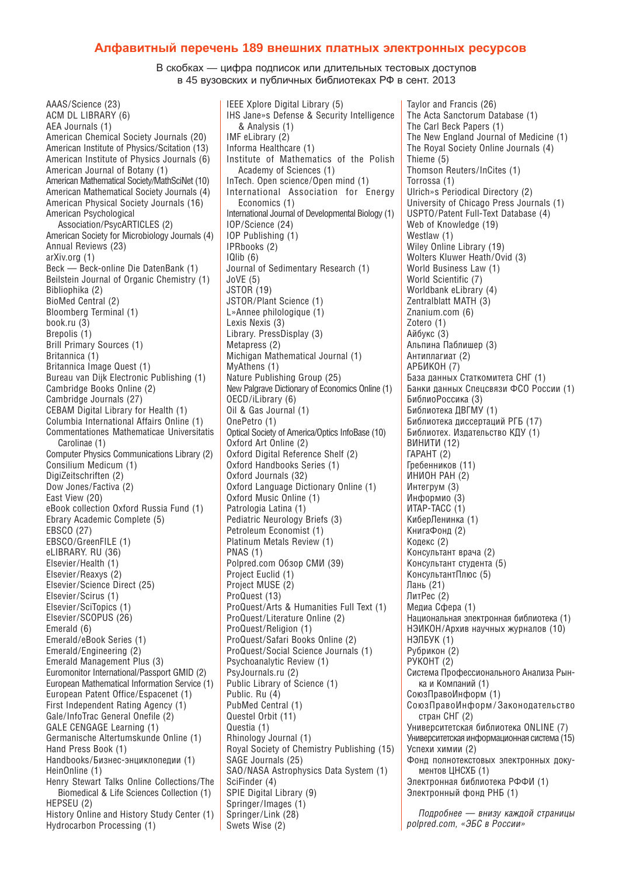#### **Алфавитный перечень 189 внешних платных электронных ресурсов**

В скобках — цифра подписок или длительных тестовых доступов в 45 вузовских и публичных библиотеках РФ в сент. 2013

AAAS/Science (23) ACM DL LIBRARY (6) AEA Journals (1) American Chemical Society Journals (20) American Institute of Physics/Scitation (13) American Institute of Physics Journals (6) American Journal of Botany (1) American Mathematical Society/MathSciNet (10) American Mathematical Society Journals (4) American Physical Society Journals (16) American Psychological Association/PsycARTICLES (2) American Society for Microbiology Journals (4) Annual Reviews (23) arXiv.org (1) Beck — Beck-online Die DatenBank (1) Beilstein Journal of Organic Chemistry (1) Bibliophika (2) BioMed Central (2) Bloomberg Terminal (1) book.ru (3) Brepolis (1) Brill Primary Sources (1) Britannica (1) Britannica Image Quest (1) Bureau van Dijk Electronic Publishing (1) Cambridge Books Online (2) Cambridge Journals (27) CEBAM Digital Library for Health (1) Columbia International Affairs Online (1) Commentationes Mathematicae Universitatis Carolinae (1) Computer Physics Communications Library (2) Consilium Medicum (1) DigiZeitschriften (2) Dow Jones/Factiva (2) East View (20) eBook collection Oxford Russia Fund (1) Ebrary Academic Complete (5) EBSCO (27) EBSCO/GreenFILE (1) eLIBRARY. RU (36) Elsevier/Health (1) Elsevier/Reaxys (2) Elsevier/Science Direct (25) Elsevier/Scirus (1) Elsevier/SciTopics (1) Elsevier/SCOPUS (26) Emerald (6) Emerald/eBook Series (1) Emerald/Engineering (2) Emerald Management Plus (3) Euromonitor International/Passport GMID (2) European Mathematical Information Service (1) European Patent Office/Espacenet (1) First Independent Rating Agency (1) Gale/InfoTrac General Onefile (2) GALE CENGAGE Learning (1) Germanische Altertumskunde Online (1) Hand Press Book (1) Handbooks/Бизнес-энциклопедии (1) HeinOnline (1) Henry Stewart Talks Online Collections/The Biomedical & Life Sciences Collection (1) HEPSEU (2) History Online and History Study Center (1) Hydrocarbon Processing (1)

IEEE Xplore Digital Library (5) IHS Jane»s Defense & Security Intelligence & Analysis (1) IMF eLibrary (2) Informa Healthcare (1) Institute of Mathematics of the Polish Academy of Sciences (1) InTech. Open science / Open mind (1) International Association for Energy Economics (1) International Journal of Developmental Biology (1) IOP/Science (24) IOP Publishing (1) IPRbooks (2) IQlib (6) Journal of Sedimentary Research (1) JoVE (5) JSTOR (19) JSTOR/Plant Science (1) L»Annee philologique (1) Lexis Nexis (3) Library. PressDisplay (3) Metapress (2) Michigan Mathematical Journal (1) MyAthens (1) Nature Publishing Group (25) New Palgrave Dictionary of Economics Online (1) OECD/iLibrary (6) Oil & Gas Journal (1) OnePetro (1) Optical Society of America/Optics InfoBase (10) Oxford Art Online (2) Oxford Digital Reference Shelf (2) Oxford Handbooks Series (1) Oxford Journals (32) Oxford Language Dictionary Online (1) Oxford Music Online (1) Patrologia Latina (1) Pediatric Neurology Briefs (3) Petroleum Economist (1) Platinum Metals Review (1) PNAS (1) Polpred.com Обзор СМИ (39) Project Euclid (1) Project MUSE (2) ProQuest (13) ProQuest/Arts & Humanities Full Text (1) ProQuest/Literature Online (2) ProQuest/Religion (1) ProQuest/Safari Books Online (2) ProQuest/Social Science Journals (1) Psychoanalytic Review (1) PsyJournals.ru (2) Public Library of Science (1) Public. Ru (4) PubMed Central (1) Questel Orbit (11) Questia (1) Rhinology Journal (1) Royal Society of Chemistry Publishing (15) SAGE Journals (25) SAO/NASA Astrophysics Data System (1) SciFinder (4) SPIE Digital Library (9) Springer/Images (1) Springer/Link (28) Swets Wise (2)

Taylor and Francis (26) The Acta Sanctorum Database (1) The Carl Beck Papers (1) The New England Journal of Medicine (1) The Royal Society Online Journals (4) Thieme (5) Thomson Reuters/InCites (1) Torrossa (1) Ulrich»s Periodical Directory (2) University of Chicago Press Journals (1) USPTO/Patent Full-Text Database (4) Web of Knowledge (19) Westlaw (1) Wiley Online Library (19) Wolters Kluwer Heath/Ovid (3) World Business Law (1) World Scientific (7) Worldbank eLibrary (4) Zentralblatt MATH (3) Znanium.com (6) Zotero (1) Айбукс (3) Альпина Паблишер (3) Антиплагиат (2) АРБИКОН (7) База данных Статкомитета СНГ (1) Банки данных Спецсвязи ФСО России (1) БиблиоРоссика (3) Библиотека ДВГМУ (1) Библиотека диссертаций РГБ (17) Библиотех. Издательство КДУ (1) ВИНИТИ (12) ГАРАНТ (2) Гребенников (11) ИНИОН РАН (2) Интегрум (3) Информио (3) ИТАР-ТАСС (1) КиберЛенинка (1) КнигаФонд (2) Кодекс (2) Консультант врача (2) Консультант студента (5) КонсультантПлюс (5) Лань (21) ЛитРес (2) Медиа Сфера (1) Национальная электронная библиотека (1) НЭИКОН/Архив научных журналов (10) НЭЛБУК (1) Рубрикон (2) РУКОНТ (2) Система Профессионального Анализа Рынка и Компаний (1) СоюзПравоИнформ (1) СоюзПравоИнформ / Законодательство стран СНГ (2) Университетская библиотека ONLINE (7) Университетская информационная система (15) Успехи химии (2) Фонд полнотекстовых электронных документов ЦНСХБ (1) Электронная библиотека РФФИ (1) Электронный фонд РНБ (1) *Подробнее — внизу каждой страницы polpred.com, «ЭБС в России»*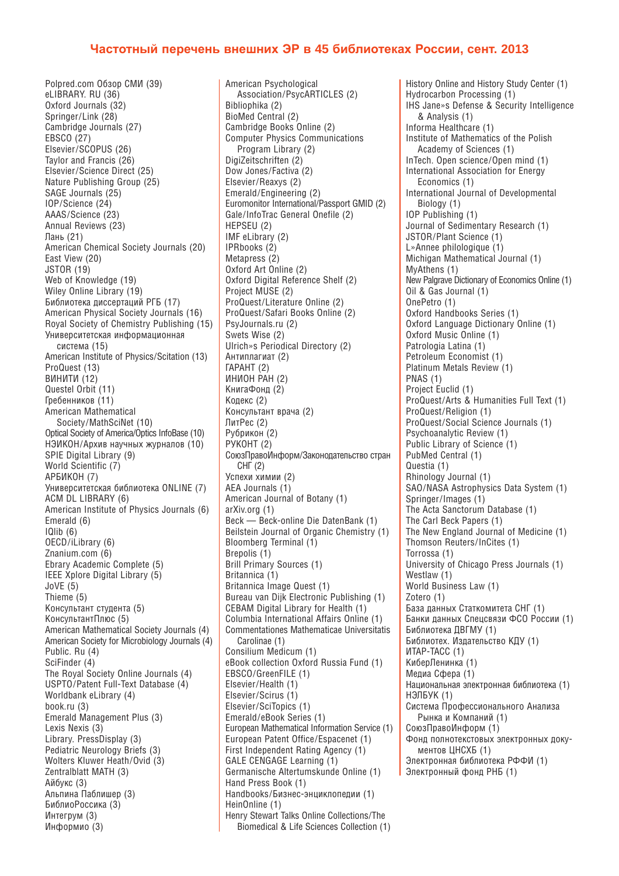## **Частотный перечень внешних ЭР в 45 библиотеках России, сент. 2013**

Polpred.com Обзор СМИ (39) eLIBRARY. RU (36) Oxford Journals (32) Springer/Link (28) Cambridge Journals (27) EBSCO (27) Elsevier/SCOPUS (26) Taylor and Francis (26) Elsevier/Science Direct (25) Nature Publishing Group (25) SAGE Journals (25) IOP/Science (24) AAAS/Science (23) Annual Reviews (23) Лань (21) American Chemical Society Journals (20) East View (20) JSTOR (19) Web of Knowledge (19) Wiley Online Library (19) Библиотека диссертаций РГБ (17) American Physical Society Journals (16) Royal Society of Chemistry Publishing (15) Университетская информационная система (15) American Institute of Physics/Scitation (13) ProQuest (13) ВИНИТИ (12) Questel Orbit (11) Гребенников (11) American Mathematical Society / MathSciNet (10) Optical Society of America/Optics InfoBase (10) НЭИКОН/Архив научных журналов (10) SPIE Digital Library (9) World Scientific (7) АРБИКОН (7) Университетская библиотека ONLINE (7) ACM DL LIBRARY (6) American Institute of Physics Journals (6) Emerald (6) IQlib (6) OECD/iLibrary (6) Znanium.com (6) Ebrary Academic Complete (5) IEEE Xplore Digital Library (5) JoVE (5) Thieme (5) Консультант студента (5) КонсультантПлюс (5) American Mathematical Society Journals (4) American Society for Microbiology Journals (4) Public. Ru (4) SciFinder (4) The Royal Society Online Journals (4) USPTO/Patent Full-Text Database (4) Worldbank eLibrary (4) book.ru (3) Emerald Management Plus (3) Lexis Nexis (3) Library. PressDisplay (3) Pediatric Neurology Briefs (3) Wolters Kluwer Heath/Ovid (3) Zentralblatt MATH (3) Айбукс (3) Альпина Паблишер (3) БиблиоРоссика (3) Интегрум (3) Информио (3)

American Psychological Association/PsycARTICLES (2) Bibliophika (2) BioMed Central (2) Cambridge Books Online (2) Computer Physics Communications Program Library (2) DigiZeitschriften (2) Dow Jones/Factiva (2) Elsevier/Reaxys (2) Emerald/Engineering (2) Euromonitor International/Passport GMID (2) Gale/InfoTrac General Onefile (2) HEPSEU (2) IMF eLibrary (2) IPRbooks (2) Metapress (2) Oxford Art Online (2) Oxford Digital Reference Shelf (2) Project MUSE (2) ProQuest/Literature Online (2) ProQuest/Safari Books Online (2) PsyJournals.ru (2) Swets Wise (2) Ulrich»s Periodical Directory (2) Антиплагиат (2) ГАРАНТ (2) ИНИОН РАН (2) КнигаФонд (2) Кодекс (2) Консультант врача (2) ЛитРес (2) Рубрикон (2) РУКОНТ (2) СоюзПравоИнформ/Законодательство стран СНГ (2) Успехи химии (2) AEA Journals (1) American Journal of Botany (1) arXiv.org (1) Beck — Beck-online Die DatenBank (1) Beilstein Journal of Organic Chemistry (1) Bloomberg Terminal (1) Brepolis (1) Brill Primary Sources (1) Britannica (1) Britannica Image Quest (1) Bureau van Dijk Electronic Publishing (1) CEBAM Digital Library for Health (1) Columbia International Affairs Online (1) Commentationes Mathematicae Universitatis Carolinae (1) Consilium Medicum (1) eBook collection Oxford Russia Fund (1) EBSCO/GreenFILE (1) Elsevier/Health (1) Elsevier/Scirus (1) Elsevier/SciTopics (1) Emerald/eBook Series (1) European Mathematical Information Service (1) European Patent Office/Espacenet (1) First Independent Rating Agency (1) GALE CENGAGE Learning (1) Germanische Altertumskunde Online (1) Hand Press Book (1) Handbooks/Бизнес-энциклопедии (1) HeinOnline (1) Henry Stewart Talks Online Collections/The Biomedical & Life Sciences Collection (1)

History Online and History Study Center (1) Hydrocarbon Processing (1) IHS Jane»s Defense & Security Intelligence & Analysis (1) Informa Healthcare (1) Institute of Mathematics of the Polish Academy of Sciences (1) InTech. Open science/Open mind (1) International Association for Energy Economics (1) International Journal of Developmental Biology (1) IOP Publishing (1) Journal of Sedimentary Research (1) JSTOR/Plant Science (1) L»Annee philologique (1) Michigan Mathematical Journal (1) MyAthens (1) New Palgrave Dictionary of Economics Online (1) Oil & Gas Journal (1) OnePetro (1) Oxford Handbooks Series (1) Oxford Language Dictionary Online (1) Oxford Music Online (1) Patrologia Latina (1) Petroleum Economist (1) Platinum Metals Review (1) PNAS (1) Project Euclid (1) ProQuest/Arts & Humanities Full Text (1) ProQuest/Religion (1) ProQuest/Social Science Journals (1) Psychoanalytic Review (1) Public Library of Science (1) PubMed Central (1) Questia (1) Rhinology Journal (1) SAO/NASA Astrophysics Data System (1) Springer/Images (1) The Acta Sanctorum Database (1) The Carl Beck Papers (1) The New England Journal of Medicine (1) Thomson Reuters/InCites (1) Torrossa (1) University of Chicago Press Journals (1) Westlaw (1) World Business Law (1) Zotero (1) База данных Статкомитета СНГ (1) Банки данных Спецсвязи ФСО России (1) Библиотека ДВГМУ (1) Библиотех. Издательство КДУ (1) ИТАР-ТАСС (1) КиберЛенинка (1) Медиа Сфера (1) Национальная электронная библиотека (1) НЭЛБУК (1) Система Профессионального Анализа Рынка и Компаний (1) СоюзПравоИнформ (1) Фонд полнотекстовых электронных документов ЦНСХБ (1) Электронная библиотека РФФИ (1) Электронный фонд РНБ (1)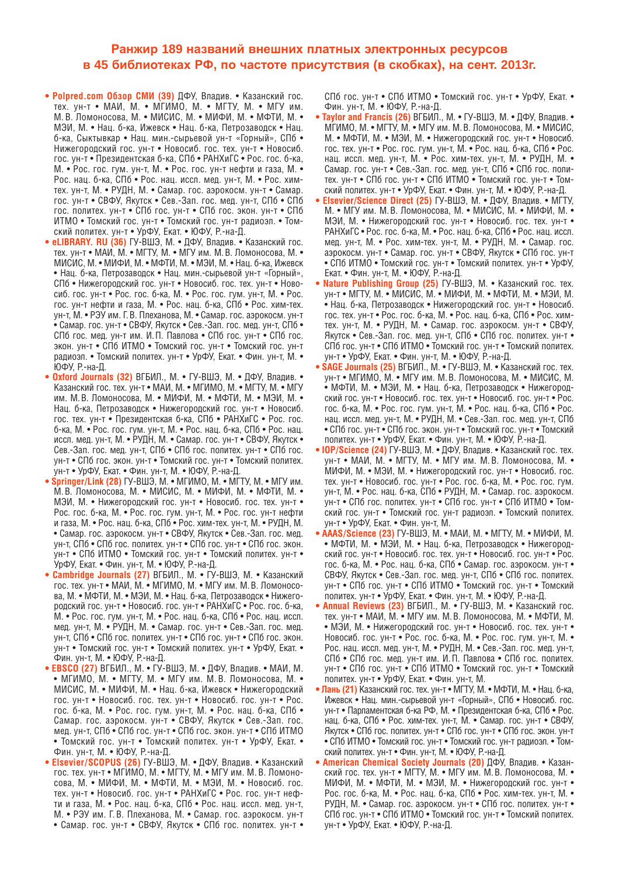## **Ранжир 189 названий внешних платных электронных ресурсов в 45 библиотеках РФ, по частоте присутствия (в скобках), на сент. 2013г.**

- **Polpred.com Обзор СМИ (39)** ДФУ, Владив. Казанский гос. тех. ун-т • МАИ, М. • МГИМО, М. • МГТУ, М. • МГУ им. М. В. Ломоносова, М. • МИСИС, М. • МИФИ, М. • МФТИ, М. • МЭИ, М. • Нац. б-ка, Ижевск • Нац. б-ка, Петрозаводск • Нац. б-ка, Сыктывкар • Нац. мин.-сырьевой ун-т «Горный», СПб • Нижегородский гос. ун-т • Новосиб. гос. тех. ун-т • Новосиб. гос. ун-т • Президентская б-ка, СПб • РАНХиГС • Рос. гос. б-ка, М. • Рос. гос. гум. ун-т, М. • Рос. гос. ун-т нефти и газа, М. • Рос. нац. б-ка, СПб • Рос. нац. иссл. мед. ун-т, М. • Рос. химтех. ун-т, М. • РУДН, М. • Самар. гос. аэрокосм. ун-т • Самар. гос. ун-т • СВФУ, Якутск • Сев.-Зап. гос. мед. ун-т, СПб • СПб гос. политех. ун-т • СПб гос. ун-т • СПб гос. экон. ун-т • СПб ИТМО • Томский гос. ун-т • Томский гос. ун-т радиоэл. • Томский политех. ун-т • УрФУ, Екат. • ЮФУ, Р.-на-Д.
- **eLIBRARY. RU (36)** ГУ-ВШЭ, М. ДФУ, Владив. Казанский гос. тех. ун-т • МАИ, М. • МГТУ, М. • МГУ им. М. В. Ломоносова, М. • МИСИС, М. • МИФИ, М. • МФТИ, М. • МЭИ, М. • Нац. б-ка, Ижевск • Нац. б-ка, Петрозаводск • Нац. мин.-сырьевой ун-т «Горный», СПб • Нижегородский гос. ун-т • Новосиб. гос. тех. ун-т • Новосиб. гос. ун-т • Рос. гос. б-ка, М. • Рос. гос. гум. ун-т, М. • Рос. гос. ун-т нефти и газа, М. • Рос. нац. б-ка, СПб • Рос. хим-тех. ун-т, М. • РЭУ им. Г. В. Плеханова, М. • Самар. гос. аэрокосм. ун-т • Самар. гос. ун-т • СВФУ, Якутск • Сев.-Зап. гос. мед. ун-т, СПб • СПб гос. мед. ун-т им. И. П. Павлова • СПб гос. ун-т • СПб гос. экон. ун-т • СПб ИТМО • Томский гос. ун-т • Томский гос. ун-т радиоэл. • Томский политех. ун-т • УрФУ, Екат. • Фин. ун-т, М. • ЮФУ, Р.-на-Д.
- **Oxford Journals (32)** ВГБИЛ., М. ГУ-ВШЭ, М. ДФУ, Владив. Казанский гос. тех. ун-т • МАИ, М. • МГИМО, М. • МГТУ, М. • МГУ им. М. В. Ломоносова, М. • МИФИ, М. • МФТИ, М. • МЭИ, М. • Нац. б-ка, Петрозаводск • Нижегородский гос. ун-т • Новосиб. гос. тех. ун-т • Президентская б-ка, СПб • РАНХиГС • Рос. гос. б-ка, М. • Рос. гос. гум. ун-т, М. • Рос. нац. б-ка, СПб • Рос. нац. иссл. мед. ун-т, М. • РУДН, М. • Самар. гос. ун-т • СВФУ, Якутск • Сев.-Зап. гос. мед. ун-т, СПб • СПб гос. политех. ун-т • СПб гос. ун-т • СПб гос. экон. ун-т • Томский гос. ун-т • Томский политех. ун-т • УрФУ, Екат. • Фин. ун-т, М. • ЮФУ, Р.-на-Д.
- Springer/Link (28) ГУ-ВШЭ, М. МГИМО, М. МГТУ, М. МГУ им. М. В. Ломоносова, М. • МИСИС, М. • МИФИ, М. • МФТИ, М. • МЭИ, М. • Нижегородский гос. ун-т • Новосиб. гос. тех. ун-т • Рос. гос. б-ка, М. • Рос. гос. гум. ун-т, М. • Рос. гос. ун-т нефти и газа, М. • Рос. нац. б-ка, СПб • Рос. хим-тех. ун-т, М. • РУДН, М. • Самар. гос. аэрокосм. ун-т • СВФУ, Якутск • Сев.-Зап. гос. мед. ун-т, СПб • СПб гос. политех. ун-т • СПб гос. ун-т • СПб гос. экон. ун-т • СПб ИТМО • Томский гос. ун-т • Томский политех. ун-т • УрФУ, Екат. • Фин. ун-т, М. • ЮФУ, Р.-на-Д.
- **Cambridge Journals (27)** ВГБИЛ., М. ГУ-ВШЭ, М. Казанский гос. тех. ун-т • МАИ, М. • МГИМО, М. • МГУ им. М. В. Ломоносова, М. • МФТИ, М. • МЭИ, М. • Нац. б-ка, Петрозаводск • Нижегородский гос. ун-т • Новосиб. гос. ун-т • РАНХиГС • Рос. гос. б-ка, М. • Рос. гос. гум. ун-т, М. • Рос. нац. б-ка, СПб • Рос. нац. иссл. мед. ун-т, М. • РУДН, М. • Самар. гос. ун-т • Сев.-Зап. гос. мед. ун-т, СПб • СПб гос. политех. ун-т • СПб гос. ун-т • СПб гос. экон. ун-т • Томский гос. ун-т • Томский политех. ун-т • УрФУ, Екат. • Фин. ун-т, М. • ЮФУ, Р.-на-Д.
- **EBSCO (27)** ВГБИЛ., М. ГУ-ВШЭ, М. ДФУ, Владив. МАИ, М. • МГИМО, М. • МГТУ, М. • МГУ им. М. В. Ломоносова, М. • МИСИС, М. • МИФИ, М. • Нац. б-ка, Ижевск • Нижегородский гос. ун-т • Новосиб. гос. тех. ун-т • Новосиб. гос. ун-т • Рос. гос. б-ка, М. • Рос. гос. гум. ун-т, М. • Рос. нац. б-ка, СПб • Самар. гос. аэрокосм. ун-т • СВФУ, Якутск • Сев.-Зап. гос. мед. ун-т, СПб • СПб гос. ун-т • СПб гос. экон. ун-т • СПб ИТМО • Томский гос. ун-т • Томский политех. ун-т • УрФУ, Екат. • Фин. ун-т, М. • ЮФУ, Р.-на-Д.
- **Elsevier / SCOPUS (26)** ГУ-ВШЭ, М. ДФУ, Владив. Казанский гос. тех. ун-т • МГИМО, М. • МГТУ, М. • МГУ им. М. В. Ломоносова, М. • МИФИ, М. • МФТИ, М. • МЭИ, М. • Новосиб. гос. тех. ун-т • Новосиб. гос. ун-т • РАНХиГС • Рос. гос. ун-т нефти и газа, М. • Рос. нац. б-ка, СПб • Рос. нац. иссл. мед. ун-т, М. • РЭУ им. Г. В. Плеханова, М. • Самар. гос. аэрокосм. ун-т • Самар. гос. ун-т • СВФУ, Якутск • СПб гос. политех. ун-т •

СПб гос. ун-т • СПб ИТМО • Томский гос. ун-т • УрФУ, Екат. • Фин. ун-т, М. • ЮФУ, Р.-на-Д.

- **Taylor and Francis (26)** ВГБИЛ., М. ГУ-ВШЭ, М. ДФУ, Владив. МГИМО, М. • МГТУ, М. • МГУ им. М. В. Ломоносова, М. • МИСИС, М. • МФТИ, М. • МЭИ, М. • Нижегородский гос. ун-т • Новосиб. гос. тех. ун-т • Рос. гос. гум. ун-т, М. • Рос. нац. б-ка, СПб • Рос. нац. иссл. мед. ун-т, М. • Рос. хим-тех. ун-т, М. • РУДН, М. • Самар. гос. ун-т • Сев.-Зап. гос. мед. ун-т, СПб • СПб гос. политех. ун-т • СПб гос. ун-т • СПб ИТМО • Томский гос. ун-т • Томский политех. ун-т • УрФУ, Екат. • Фин. ун-т, М. • ЮФУ, Р.-на-Д.
- Elsevier/Science Direct (25) ГУ-ВШЭ, М. ДФУ, Владив. МГТУ, М. • МГУ им. М. В. Ломоносова, М. • МИСИС, М. • МИФИ, М. • МЭИ, М. • Нижегородский гос. ун-т • Новосиб. гос. тех. ун-т • РАНХиГС • Рос. гос. б-ка, М. • Рос. нац. б-ка, СПб • Рос. нац. иссл. мед. ун-т, М. • Рос. хим-тех. ун-т, М. • РУДН, М. • Самар. гос. аэрокосм. ун-т • Самар. гос. ун-т • СВФУ, Якутск • СПб гос. ун-т • СПб ИТМО • Томский гос. ун-т • Томский политех. ун-т • УрФУ, Екат. • Фин. ун-т, М. • ЮФУ, Р.-на-Д.
- **Nature Publishing Group (25)** ГУ-ВШЭ, М. Казанский гос. тех. ун-т • МГТУ, М. • МИСИС, М. • МИФИ, М. • МФТИ, М. • МЭИ, М. • Нац. б-ка, Петрозаводск • Нижегородский гос. ун-т • Новосиб. гос. тех. ун-т • Рос. гос. б-ка, М. • Рос. нац. б-ка, СПб • Рос. химтех. ун-т, М. • РУДН, М. • Самар. гос. аэрокосм. ун-т • СВФУ, Якутск • Сев.-Зап. гос. мед. ун-т, СПб • СПб гос. политех. ун-т • СПб гос. ун-т • СПб ИТМО • Томский гос. ун-т • Томский политех. ун-т • УрФУ, Екат. • Фин. ун-т, М. • ЮФУ, Р.-на-Д.
- **SAGE Journals (25)** ВГБИЛ., М. ГУ-ВШЭ, М. Казанский гос. тех. ун-т • МГИМО, М. • МГУ им. М. В. Ломоносова, М. • МИСИС, М. • МФТИ, М. • МЭИ, М. • Нац. б-ка, Петрозаводск • Нижегородский гос. ун-т • Новосиб. гос. тех. ун-т • Новосиб. гос. ун-т • Рос. гос. б-ка, М. • Рос. гос. гум. ун-т, М. • Рос. нац. б-ка, СПб • Рос. нац. иссл. мед. ун-т, М. • РУДН, М. • Сев.-Зап. гос. мед. ун-т, СПб • СПб гос. ун-т • СПб гос. экон. ун-т • Томский гос. ун-т • Томский политех. ун-т • УрФУ, Екат. • Фин. ун-т, М. • ЮФУ, Р.-на-Д.
- **IOP/Science (24)** ГУ-ВШЭ, М. ДФУ, Владив. Казанский гос. тех. ун-т • МАИ, М. • МГТУ, М. • МГУ им. М. В. Ломоносова, М. • МИФИ, М. • МЭИ, М. • Нижегородский гос. ун-т • Новосиб. гос. тех. ун-т • Новосиб. гос. ун-т • Рос. гос. б-ка, М. • Рос. гос. гум. ун-т, М. • Рос. нац. б-ка, СПб • РУДН, М. • Самар. гос. аэрокосм. ун-т • СПб гос. политех. ун-т • СПб гос. ун-т • СПб ИТМО • Томский гос. ун-т • Томский гос. ун-т радиоэл. • Томский политех. ун-т • УрФУ, Екат. • Фин. ун-т, М.
- **AAAS / Science (23)** ГУ-ВШЭ, М. МАИ, М. МГТУ, М. МИФИ, М. • МФТИ, М. • МЭИ, М. • Нац. б-ка, Петрозаводск • Нижегородский гос. ун-т • Новосиб. гос. тех. ун-т • Новосиб. гос. ун-т • Рос. гос. б-ка, М. • Рос. нац. б-ка, СПб • Самар. гос. аэрокосм. ун-т • СВФУ, Якутск • Сев.-Зап. гос. мед. ун-т, СПб • СПб гос. политех. ун-т • СПб гос. ун-т • СПб ИТМО • Томский гос. ун-т • Томский политех. ун-т • УрФУ, Екат. • Фин. ун-т, М. • ЮФУ, Р.-на-Д.
- **Annual Reviews (23)** ВГБИЛ., М. ГУ-ВШЭ, М. Казанский гос. тех. ун-т • МАИ, М. • МГУ им. М. В. Ломоносова, М. • МФТИ, М. • МЭИ, М. • Нижегородский гос. ун-т • Новосиб. гос. тех. ун-т • Новосиб. гос. ун-т • Рос. гос. б-ка, М. • Рос. гос. гум. ун-т, М. • Рос. нац. иссл. мед. ун-т, М. • РУДН, М. • Сев.-Зап. гос. мед. ун-т, СПб • СПб гос. мед. ун-т им. И. П. Павлова • СПб гос. политех. ун-т • СПб гос. ун-т • СПб ИТМО • Томский гос. ун-т • Томский политех. ун-т • УрФУ, Екат. • Фин. ун-т, М.
- **Лань (21)** Казанский гос. тех. ун-т МГТУ, М. МФТИ, М. Нац. б-ка, Ижевск • Нац. мин.-сырьевой ун-т «Горный», СПб • Новосиб. гос. ун-т • Парламентская б-ка РФ, М. • Президентская б-ка, СПб • Рос. нац. б-ка, СПб • Рос. хим-тех. ун-т, М. • Самар. гос. ун-т • СВФУ, Якутск • СПб гос. политех. ун-т • СПб гос. ун-т • СПб гос. экон. ун-т • СПб ИТМО • Томский гос. ун-т • Томский гос. ун-т радиоэл. • Томский политех. ун-т • Фин. ун-т, М. • ЮФУ, Р.-на-Д.
- **American Chemical Society Journals (20)** ДФУ, Владив. Казанский гос. тех. ун-т • МГТУ, М. • МГУ им. М. В. Ломоносова, М. • МИФИ, М. • МФТИ, М. • МЭИ, М. • Нижегородский гос. ун-т • Рос. гос. б-ка, М. • Рос. нац. б-ка, СПб • Рос. хим-тех. ун-т, М. • РУДН, М. • Самар. гос. аэрокосм. ун-т • СПб гос. политех. ун-т • СПб гос. ун-т • СПб ИТМО • Томский гос. ун-т • Томский политех. ун-т • УрФУ, Екат. • ЮФУ, Р.-на-Д.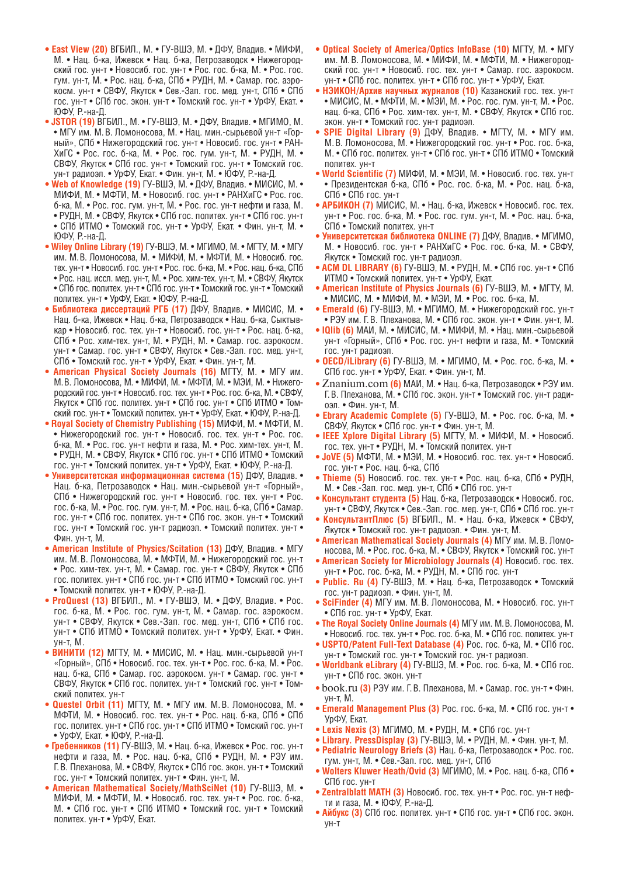- **East View (20)** ВГБИЛ., М. ГУ-ВШЭ, М. ДФУ, Владив. МИФИ, М. • Нац. б-ка, Ижевск • Нац. б-ка, Петрозаводск • Нижегородский гос. ун-т • Новосиб. гос. ун-т • Рос. гос. б-ка, М. • Рос. гос. гум. ун-т, М. • Рос. нац. б-ка, СПб • РУДН, М. • Самар. гос. аэрокосм. ун-т • СВФУ, Якутск • Сев.-Зап. гос. мед. ун-т, СПб • СПб гос. ун-т • СПб гос. экон. ун-т • Томский гос. ун-т • УрФУ, Екат. • ЮФУ, Р.-на-Д.
- **JSTOR (19)** ВГБИЛ., М. ГУ-ВШЭ, М. ДФУ, Владив. МГИМО, М. • МГУ им. М. В. Ломоносова, М. • Нац. мин.-сырьевой ун-т «Горный», СПб • Нижегородский гос. ун-т • Новосиб. гос. ун-т • РАН-ХиГС • Рос. гос. б-ка, М. • Рос. гос. гум. ун-т, М. • РУДН, М. • СВФУ, Якутск • СПб гос. ун-т • Томский гос. ун-т • Томский гос. ун-т радиоэл. • УрФУ, Екат. • Фин. ун-т, М. • ЮФУ, Р.-на-Д.
- **Web of Knowledge (19)** ГУ-ВШЭ, М. ДФУ, Владив. МИСИС, М. МИФИ, М. • МФТИ, М. • Новосиб. гос. ун-т • РАНХиГС • Рос. гос. б-ка, М. • Рос. гос. гум. ун-т, М. • Рос. гос. ун-т нефти и газа, М. • РУДН, М. • СВФУ, Якутск • СПб гос. политех. ун-т • СПб гос. ун-т • СПб ИТМО • Томский гос. ун-т • УрФУ, Екат. • Фин. ун-т, М. • ЮФУ, Р.-на-Д.
- **Wiley Online Library (19)** ГУ-ВШЭ, М. МГИМО, М. МГТУ, М. МГУ им. М. В. Ломоносова, М. • МИФИ, М. • МФТИ, М. • Новосиб. гос. тех. ун-т • Новосиб. гос. ун-т • Рос. гос. б-ка, М. • Рос. нац. б-ка, СПб • Рос. нац. иссл. мед. ун-т, М. • Рос. хим-тех. ун-т, М. • СВФУ, Якутск • СПб гос. политех. ун-т • СПб гос. ун-т • Томский гос. ун-т • Томский политех. ун-т • УрФУ, Екат. • ЮФУ, Р.-на-Д.
- **Библиотека диссертаций РГБ (17)** ДФУ, Владив. МИСИС, М. Нац. б-ка, Ижевск • Нац. б-ка, Петрозаводск • Нац. б-ка, Сыктывкар • Новосиб. гос. тех. ун-т • Новосиб. гос. ун-т • Рос. нац. б-ка, СПб • Рос. хим-тех. ун-т, М. • РУДН, М. • Самар. гос. аэрокосм. ун-т • Самар. гос. ун-т • СВФУ, Якутск • Сев.-Зап. гос. мед. ун-т, СПб • Томский гос. ун-т • УрФУ, Екат. • Фин. ун-т, М.
- **American Physical Society Journals (16)** МГТУ, М. МГУ им. М. В. Ломоносова, М. • МИФИ, М. • МФТИ, М. • МЭИ, М. • Нижегородский гос. ун-т • Новосиб. гос. тех. ун-т • Рос. гос. б-ка, М. • СВФУ, Якутск • СПб гос. политех. ун-т • СПб гос. ун-т • СПб ИТМО • Томский гос. ун-т • Томский политех. ун-т • УрФУ, Екат. • ЮФУ, Р.-на-Д.
- **Royal Society of Chemistry Publishing (15)** МИФИ, М. МФТИ, М. • Нижегородский гос. ун-т • Новосиб. гос. тех. ун-т • Рос. гос. б-ка, М. • Рос. гос. ун-т нефти и газа, М. • Рос. хим-тех. ун-т, М. • РУДН, М. • СВФУ, Якутск • СПб гос. ун-т • СПб ИТМО • Томский гос. ун-т • Томский политех. ун-т • УрФУ, Екат. • ЮФУ, Р.-на-Д.
- **Университетская информационная система (15**) ДФУ, Владив. Нац. б-ка, Петрозаводск • Нац. мин.-сырьевой ун-т «Горный», СПб • Нижегородский гос. ун-т • Новосиб. гос. тех. ун-т • Рос. гос. б-ка, М. • Рос. гос. гум. ун-т, М. • Рос. нац. б-ка, СПб • Самар. гос. ун-т • СПб гос. политех. ун-т • СПб гос. экон. ун-т • Томский гос. ун-т • Томский гос. ун-т радиоэл. • Томский политех. ун-т • Фин. ун-т, М.
- **American Institute of Physics / Scitation (13)** ДФУ, Владив. МГУ им. М. В. Ломоносова, М. • МФТИ, М. • Нижегородский гос. ун-т • Рос. хим-тех. ун-т, М. • Самар. гос. ун-т • СВФУ, Якутск • СПб гос. политех. ун-т • СПб гос. ун-т • СПб ИТМО • Томский гос. ун-т • Томский политех. ун-т • ЮФУ, Р.-на-Д.
- **ProQuest (13)** ВГБИЛ., М. ГУ-ВШЭ, М. ДФУ, Владив. Рос. гос. б-ка, М. • Рос. гос. гум. ун-т, М. • Самар. гос. аэрокосм. ун-т • СВФУ, Якутск • Сев.-Зап. гос. мед. ун-т, СПб • СПб гос. ун-т • СПб ИТМО • Томский политех. ун-т • УрФУ, Екат. • Фин. ун-т, М.
- **ВИНИТИ (12)** МГТУ, М. МИСИС, М. Нац. мин.-сырьевой ун-т «Горный», СПб • Новосиб. гос. тех. ун-т • Рос. гос. б-ка, М. • Рос. нац. б-ка, СПб • Самар. гос. аэрокосм. ун-т • Самар. гос. ун-т • СВФУ, Якутск • СПб гос. политех. ун-т • Томский гос. ун-т • Томский политех. ун-т
- **Questel Orbit (11)** МГТУ, М. МГУ им. М. В. Ломоносова, М. МФТИ, М. • Новосиб. гос. тех. ун-т • Рос. нац. б-ка, СПб • СПб гос. политех. ун-т • СПб гос. ун-т • СПб ИТМО • Томский гос. ун-т • УрФУ, Екат. • ЮФУ, Р.-на-Д.
- **Гребенников (11)** ГУ-ВШЭ, М. Нац. б-ка, Ижевск Рос. гос. ун-т нефти и газа, М. • Рос. нац. б-ка, СПб • РУДН, М. • РЭУ им. Г. В. Плеханова, М. • СВФУ, Якутск • СПб гос. экон. ун-т • Томский гос. ун-т • Томский политех. ун-т • Фин. ун-т, М.
- **American Mathematical Society / MathSciNet (10)** ГУ-ВШЭ, М. МИФИ, М. • МФТИ, М. • Новосиб. гос. тех. ун-т • Рос. гос. б-ка, М. • СПб гос. ун-т • СПб ИТМО • Томский гос. ун-т • Томский политех. ун-т • УрФУ, Екат.
- Optical Society of America/Optics InfoBase (10) MFTY, M. MFY им. М. В. Ломоносова, М. • МИФИ, М. • МФТИ, М. • Нижегородский гос. ун-т • Новосиб. гос. тех. ун-т • Самар. гос. аэрокосм. ун-т • СПб гос. политех. ун-т • СПб гос. ун-т • УрФУ, Екат.
- **НЭИКОН/Архив научных журналов (10)** Казанский гос. тех. ун-т • МИСИС, М. • МФТИ, М. • МЭИ, М. • Рос. гос. гум. ун-т, М. • Рос. нац. б-ка, СПб • Рос. хим-тех. ун-т, М. • СВФУ, Якутск • СПб гос. экон. ун-т • Томский гос. ун-т радиоэл.
- **SPIE Digital Library (9)** ДФУ, Владив. МГТУ, М. МГУ им. М. В. Ломоносова, М. • Нижегородский гос. ун-т • Рос. гос. б-ка, М. • СПб гос. политех. ун-т • СПб гос. ун-т • СПб ИТМО • Томский политех. ун-т
- **World Scientific (7)** МИФИ, М. МЭИ, М. Новосиб. гос. тех. ун-т • Президентская б-ка, СПб • Рос. гос. б-ка, М. • Рос. нац. б-ка, СПб • СПб гос. ун-т
- **АРБИКОН (7)** МИСИС, М. Нац. б-ка, Ижевск Новосиб. гос. тех. ун-т • Рос. гос. б-ка, М. • Рос. гос. гум. ун-т, М. • Рос. нац. б-ка, СПб • Томский политех. ун-т
- **Университетская библиотека ONLINE (7)** ДФУ, Владив. МГИМО, М. • Новосиб. гос. ун-т • РАНХиГС • Рос. гос. б-ка, М. • СВФУ, Якутск • Томский гос. ун-т радиоэл.
- **ACM DL LIBRARY (6)** ГУ-ВШЭ, М. РУДН, М. СПб гос. ун-т СПб ИТМО • Томский политех. ун-т • УрФУ, Екат.
- American Institute of Physics Journals (6) ГУ-ВШЭ, М. МГТУ, М. • МИСИС, М. • МИФИ, М. • МЭИ, М. • Рос. гос. б-ка, М.
- **Emerald (6)** ГУ-ВШЭ, М. МГИМО, М. Нижегородский гос. ун-т • РЭУ им. Г. В. Плеханова, М. • СПб гос. экон. ун-т • Фин. ун-т, М.
- **IQlib (6)** МАИ, М. МИСИС, М. МИФИ, М. Нац. мин.-сырьевой ун-т «Горный», СПб • Рос. гос. ун-т нефти и газа, М. • Томский гос. ун-т радиоэл.
- **ОЕСD/iLibrary (6)** ГУ-ВШЭ, М. МГИМО, М. Рос. гос. б-ка, М. СПб гос. ун-т • УрФУ, Екат. • Фин. ун-т, М.
- Znanium.com **(6)** МАИ, М. Нац. б-ка, Петрозаводск РЭУ им. Г. В. Плеханова, М. СПб гос. экон. ун-т Томский гос. ун-т радиоэл. • Фин. ун-т, М.
- **Ebrary Academic Complete (5)** ГУ-ВШЭ, М. Рос. гос. б-ка, М. СВФУ, Якутск • СПб гос. ун-т • Фин. ун-т, М.
- **IEEE Xplore Digital Library (5)** МГТУ, М. МИФИ, М. Новосиб. гос. тех. ун-т • РУДН, М. • Томский политех. ун-т
- **JoVE (5)** МФТИ, М. МЭИ, М. Новосиб. гос. тех. ун-т Новосиб. гос. ун-т • Рос. нац. б-ка, СПб
- **Thieme (5)** Новосиб. гос. тех. ун-т Рос. нац. б-ка, СПб РУДН, М. • Сев.-Зап. гос. мед. ун-т, СПб • СПб гос. ун-т
- **Консультант студента (5)** Нац. б-ка, Петрозаводск Новосиб. гос. ун-т • СВФУ, Якутск • Сев.-Зап. гос. мед. ун-т, СПб • СПб гос. ун-т
- **КонсультантПлюс (5)** ВГБИЛ., М. Нац. б-ка, Ижевск СВФУ, Якутск • Томский гос. ун-т радиоэл. • Фин. ун-т, М.
- **American Mathematical Society Journals (4)** МГУ им. М. В. Ломоносова, М. • Рос. гос. б-ка, М. • СВФУ, Якутск • Томский гос. ун-т
- **American Society for Microbiology Journals (4)** Новосиб. гос. тех. ун-т • Рос. гос. б-ка, М. • РУДН, М. • СПб гос. ун-т
- **Public. Ru (4)** ГУ-ВШЭ, М. Нац. б-ка, Петрозаводск Томский гос. ун-т радиоэл. • Фин. ун-т, М.
- **SciFinder (4)** МГУ им. М. В. Ломоносова, М. Новосиб. гос. ун-т • СПб гос. ун-т • УрФУ, Екат.
- **The Royal Society Online Journals (4)** МГУ им. М. В. Ломоносова, М. • Новосиб. гос. тех. ун-т • Рос. гос. б-ка, М. • СПб гос. политех. ун-т
- **USPTO/Patent Full-Text Database (4)** Рос. гос. б-ка, М. СПб гос. ун-т • Томский гос. ун-т • Томский гос. ун-т радиоэл.
- **Worldbank eLibrary (4)** ГУ-ВШЭ, М. Рос. гос. б-ка, М. СПб гос. ун-т • СПб гос. экон. ун-т
- book.ru **(3)** РЭУ им. Г. В. Плеханова, М. Самар. гос. ун-т Фин. ун-т, М.
- **Emerald Management Plus (3)** Рос. гос. б-ка, М. СПб гос. ун-т УрФУ, Екат.
- **Lexis Nexis (3)** МГИМО, М. РУДН, М. СПб гос. ун-т
- **Library. PressDisplay (3)** ГУ-ВШЭ, М. РУДН, М. Фин. ун-т, М. **• Pediatric Neurology Briefs (3)** Нац. б-ка, Петрозаводск • Рос. гос.
- гум. ун-т, М. Сев.-Зап. гос. мед. ун-т, СПб • Wolters Kluwer Heath/Ovid (3) МГИМО, М. • Рос. нац. б-ка, СПб • СПб гос. ун-т
- **Zentralblatt MATH (3)** Новосиб. гос. тех. ун-т Рос. гос. ун-т нефти и газа, М. • ЮФУ, Р.-на-Д.
- **Айбукс (3)** СПб гос. политех. ун-т СПб гос. ун-т СПб гос. экон. ун-т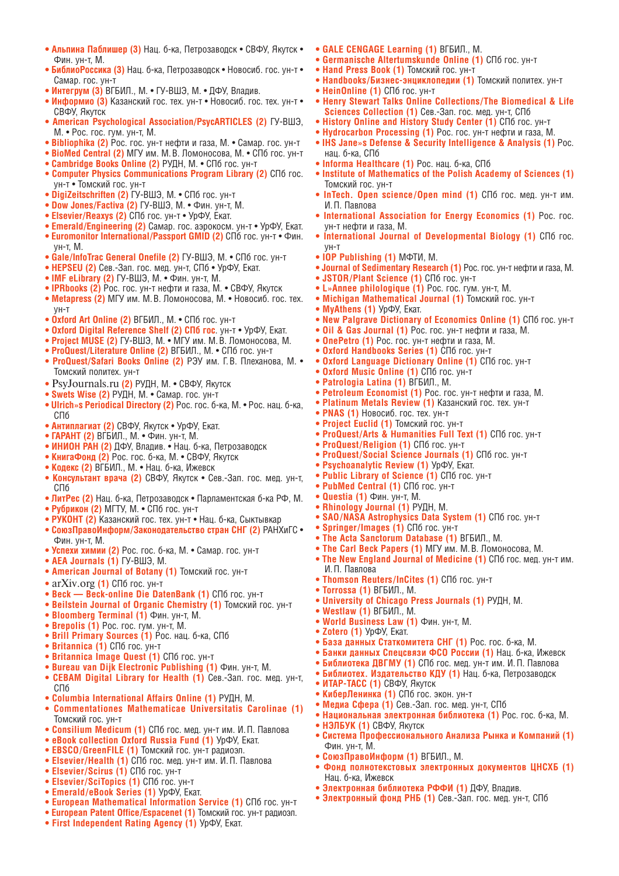- **Альпина Паблишер (3)** Нац. б-ка, Петрозаводск СВФУ, Якутск Фин. ун-т, М.
- **БиблиоРоссика (3)** Нац. б-ка, Петрозаводск Новосиб. гос. ун-т Самар. гос. ун-т
- **Интегрум (3)** ВГБИЛ., М. ГУ-ВШЭ, М. ДФУ, Владив.
- **Информио (3)** Казанский гос. тех. ун-т Новосиб. гос. тех. ун-т СВФУ, Якутск
- **American Psychological Association / PsycARTICLES (2)** ГУ-ВШЭ, М. • Рос. гос. гум. ун-т, М.
- **Bibliophika (2)** Рос. гос. ун-т нефти и газа, М. Самар. гос. ун-т
- **BioMed Central (2)** МГУ им. М. В. Ломоносова, М. СПб гос. ун-т
- **Cambridge Books Online (2)** РУДН, М. СПб гос. ун-т
- **Computer Physics Communications Program Library (2)** СПб гос. ун-т • Томский гос. ун-т
- **DigiZeitschriften (2)** ГУ-ВШЭ, М. СПб гос. ун-т
- Dow Jones/Factiva (2) ГУ-ВШЭ, М. Фин. ун-т, М.
- **Elsevier / Reaxys (2)** СПб гос. ун-т УрФУ, Екат.
- **Emerald/Engineering (2)** Самар. гос. аэрокосм. ун-т УрФУ, Екат.
- Euromonitor International/Passport GMID (2) СПб гос. ун-т Фин. ун-т, М.
- **Gale / InfoTrac General Onefile (2)** ГУ-ВШЭ, М. СПб гос. ун-т
- **HEPSEU (2)** Сев.-Зап. гос. мед. ун-т, СПб УрФУ, Екат.
- **IMF eLibrary (2)** ГУ-ВШЭ, М. Фин. ун-т, М.
- **IPRbooks (2)** Рос. гос. ун-т нефти и газа, М. СВФУ, Якутск
- **Metapress (2)** МГУ им. М. В. Ломоносова, М. Новосиб. гос. тех. ун-т
- **Oxford Art Online (2)** ВГБИЛ., М. СПб гос. ун-т
- **Oxford Digital Reference Shelf (2) СПб гос**. ун-т УрФУ, Екат.
- **Project MUSE (2)** ГУ-ВШЭ, М. МГУ им. М. В. Ломоносова, М.
- ProQuest/Literature Online (2) ВГБИЛ., М. СПб гос. ун-т
- ProQuest/Safari Books Online (2) РЭУ им. Г.В. Плеханова, М. Томский политех. ун-т
- PsyJournals.ru **(2)** РУДН, М. СВФУ, Якутск  **Swets Wise (2)** РУДН, М. Самар. гос. ун-т
- 
- **Ulrich»s Periodical Directory (2)** Рос. гос. б-ка, М. Рос. нац. б-ка, СПб
- **Антиплагиат (2)** СВФУ, Якутск УрФУ, Екат.
- **ГАРАНТ (2)** ВГБИЛ., М. Фин. ун-т, М.
- **ИНИОН РАН (2)** ДФУ, Владив. Нац. б-ка, Петрозаводск
- **КнигаФонд (2)** Рос. гос. б-ка, М. СВФУ, Якутск
- **Кодекс (2)** ВГБИЛ., М. Нац. б-ка, Ижевск
- **Консультант врача (2)** СВФУ, Якутск Сев.-Зап. гос. мед. ун-т, СПб
- **ЛитРес (2)** Нац. б-ка, Петрозаводск Парламентская б-ка РФ, М.
- **Рубрикон (2)** МГТУ, М. СПб гос. ун-т
- **РУКОНТ (2)** Казанский гос. тех. ун-т Нац. б-ка, Сыктывкар
- **СоюзПравоИнформ / Законодательство стран СНГ (2)** РАНХиГС Фин. ун-т, М.
- **Успехи химии (2)** Рос. гос. б-ка, М. Самар. гос. ун-т
- **AEA Journals (1)** ГУ-ВШЭ, М.
- **American Journal of Botany (1)** Томский гос. ун-т
- arXiv.org **(1)** СПб гос. ун-т
- **Beck Beck-online Die DatenBank (1)** СПб гос. ун-т
- **Beilstein Journal of Organic Chemistry (1)** Томский гос. ун-т
- **Bloomberg Terminal (1)** Фин. ун-т, М.
- **Brepolis (1)** Рос. гос. гум. ун-т, М.
- **Brill Primary Sources (1)** Рос. нац. б-ка, СПб
- **Britannica (1)** СПб гос. ун-т
- **Britannica Image Quest (1)** СПб гос. ун-т
- **Bureau van Dijk Electronic Publishing (1)** Фин. ун-т, М.
- **CEBAM Digital Library for Health (1)** Сев.-Зап. гос. мед. ун-т, СПб
- **Columbia International Affairs Online (1)** РУДН, М.
- **Commentationes Mathematicae Universitatis Carolinae (1)**  Томский гос. ун-т
- **Consilium Medicum (1)** СПб гос. мед. ун-т им. И. П. Павлова
- **eBook collection Oxford Russia Fund (1)** УрФУ, Екат.
- **EBSCO / GreenFILE (1)** Томский гос. ун-т радиоэл.
- **Elsevier / Health (1)** СПб гос. мед. ун-т им. И. П. Павлова
- Elsevier/Scirus (1) СПб гос. ун-т
- **Elsevier/SciTopics (1)** СПб гос. ун-т
- **Emerald / eBook Series (1)** УрФУ, Екат.
- **European Mathematical Information Service (1)** СПб гос. ун-т
- **European Patent Office / Espacenet (1)** Томский гос. ун-т радиоэл.
- **First Independent Rating Agency (1)** УрФУ, Екат.
- **GALE CENGAGE Learning (1)** ВГБИЛ., М.
- **Germanische Altertumskunde Online (1)** СПб гос. ун-т
- Hand Press Book (1) Томский гос. ун-т
- **Handbooks/Бизнес-энциклопедии (1)** Томский политех. ун-т • HeinOnline (1) СПб гос. ун-т
- **Henry Stewart Talks Online Collections / The Biomedical & Life Sciences Collection (1)** Сев.-Зап. гос. мед. ун-т, СПб
- **History Online and History Study Center (1)** СПб гос. ун-т
- **Hydrocarbon Processing (1)** Рос. гос. ун-т нефти и газа, М.
- **IHS Jane»s Defense & Security Intelligence & Analysis (1)** Рос. нац. б-ка, СПб
	- **Informa Healthcare (1)** Рос. нац. б-ка, СПб
- **Institute of Mathematics of the Polish Academy of Sciences (1)**  Томский гос. ун-т
- **InTech. Open science / Open mind (1)** СПб гос. мед. ун-т им. И. П. Павлова
- **International Association for Energy Economics (1)** Рос. гос. ун-т нефти и газа, М.
- **International Journal of Developmental Biology (1)** СПб гос. ун-т
- **IOP Publishing (1)** МФТИ, М.
- **Journal of Sedimentary Research (1)** Рос. гос. ун-т нефти и газа, М.
- **JSTOR/Plant Science (1)** СПб гос. ун-т
- **L»Annee philologique (1)** Рос. гос. гум. ун-т, М.
- **Michigan Mathematical Journal (1)** Томский гос. ун-т
- **MyAthens (1)** УрФУ, Екат.
- **New Palgrave Dictionary of Economics Online (1)** СПб гос. ун-т
- **Oil & Gas Journal (1)** Рос. гос. ун-т нефти и газа, М.
- **OnePetro (1)** Рос. гос. ун-т нефти и газа, М.
- **Oxford Handbooks Series (1)** СПб гос. ун-т
- **Oxford Language Dictionary Online (1)** СПб гос. ун-т
- **Oxford Music Online (1)** СПб гос. ун-т
- **Patrologia Latina (1)** ВГБИЛ., М.
- **Petroleum Economist (1)** Рос. гос. ун-т нефти и газа, М.
- **Platinum Metals Review (1)** Казанский гос. тех. ун-т
- **PNAS (1)** Новосиб. гос. тех. ун-т
- Project Euclid (1) Томский гос. ун-т
- **ProQuest/Arts & Humanities Full Text (1) СПб гос. ун-т**
- ProQuest/Religion (1) СПб гос. ун-т
- ProQuest/Social Science Journals (1) СПб гос. ун-т
- **Psychoanalytic Review (1)** УрФУ, Екат.
- **Public Library of Science (1)** СПб гос. ун-т

**• The Acta Sanctorum Database (1)** ВГБИЛ., М.

**• Thomson Reuters / InCites (1)** СПб гос. ун-т

**• World Business Law (1)** Фин. ун-т, М.

**• University of Chicago Press Journals (1)** РУДН, М.

**• База данных Статкомитета СНГ (1)** Рос. гос. б-ка, М. **• Банки данных Спецсвязи ФСО России (1)** Нац. б-ка, Ижевск **• Библиотека ДВГМУ (1)** СПб гос. мед. ун-т им. И. П. Павлова **• Библиотех. Издательство КДУ (1)** Нац. б-ка, Петрозаводск

**• Национальная электронная библиотека (1)** Рос. гос. б-ка, М.

**• Система Профессионального Анализа Рынка и Компаний (1)** 

**• Фонд полнотекстовых электронных документов ЦНСХБ (1)** 

**• Электронная библиотека РФФИ (1)** ДФУ, Владив. **• Электронный фонд РНБ (1)** Сев.-Зап. гос. мед. ун-т, СПб

**• The Carl Beck Papers (1)** МГУ им. М. В. Ломоносова, М. **• The New England Journal of Medicine (1)** СПб гос. мед. ун-т им.

- **PubMed Central (1)** СПб гос. ун-т
- **Questia (1)** Фин. ун-т, М.

И. П. Павлова

**• Torrossa (1)** ВГБИЛ., М.

**• Westlaw (1)** ВГБИЛ., М.

• Zotero (1) УрФУ, Екат.

**• ИТАР-ТАСС (1)** СВФУ, Якутск **• КиберЛенинка (1)** СПб гос. экон. ун-т **• Медиа Сфера (1)** Сев.-Зап. гос. мед. ун-т, СПб

**• НЭЛБУК (1)** СВФУ, Якутск

**• СоюзПравоИнформ (1)** ВГБИЛ., М.

Фин. ун-т, М.

Нац. б-ка, Ижевск

**• Rhinology Journal (1)** РУДН, М. **• SAO / NASA Astrophysics Data System (1)** СПб гос. ун-т

• Springer/Images (1) СПб гос. ун-т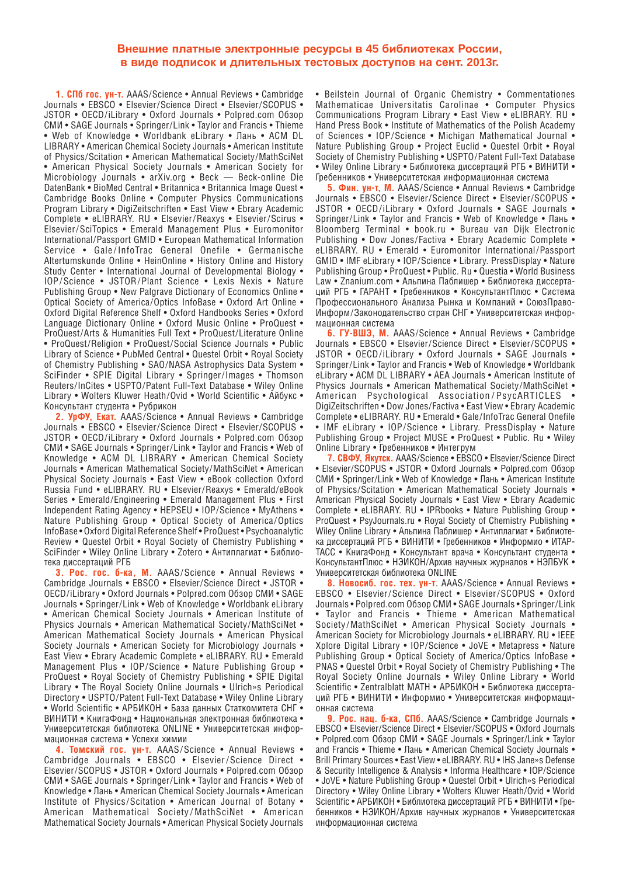### **Внешние платные электронные ресурсы в 45 библиотеках России, в виде подписок и длительных тестовых доступов на сент. 2013г.**

**1. СПб гос. ун-т.** AAAS/Science • Annual Reviews • Cambridge Journals • EBSCO • Elsevier/Science Direct • Elsevier/SCOPUS • JSTOR • OECD/iLibrary • Oxford Journals • Polpred.com Oбзор СМИ • SAGE Journals • Springer / Link • Taylor and Francis • Thieme • Web of Knowledge • Worldbank eLibrary • Лань • ACM DL LIBRARY • American Chemical Society Journals • American Institute of Physics / Scitation • American Mathematical Society / MathSciNet • American Physical Society Journals • American Society for Microbiology Journals • arXiv.org • Beck — Beck-online Die DatenBank • BioMed Central • Britannica • Britannica Image Quest • Cambridge Books Online • Computer Physics Communications Program Library • DigiZeitschriften • East View • Ebrary Academic Complete • eLIBRARY. RU • Elsevier/Reaxys • Elsevier/Scirus • Elsevier / SciTopics • Emerald Management Plus • Euromonitor International / Passport GMID • European Mathematical Information Service • Gale / InfoTrac General Onefile • Germanische Altertumskunde Online • HeinOnline • History Online and History Study Center • International Journal of Developmental Biology • IOP / Science • JSTOR / Plant Science • Lexis Nexis • Nature Publishing Group • New Palgrave Dictionary of Economics Online • Optical Society of America/Optics InfoBase • Oxford Art Online • Oxford Digital Reference Shelf • Oxford Handbooks Series • Oxford Language Dictionary Online • Oxford Music Online • ProQuest • ProQuest/Arts & Humanities Full Text • ProQuest/Literature Online • ProQuest/Religion • ProQuest/Social Science Journals • Public Library of Science • PubMed Central • Questel Orbit • Royal Society of Chemistry Publishing • SAO/NASA Astrophysics Data System • SciFinder • SPIE Digital Library • Springer / Images • Thomson Reuters / InCites • USPTO / Patent Full-Text Database • Wiley Online Library • Wolters Kluwer Heath / Ovid • World Scientific • Айбукс • Консультант студента • Рубрикон

**2. УрФУ, Екат.** AAAS / Science • Annual Reviews • Cambridge Journals • EBSCO • Elsevier/Science Direct • Elsevier/SCOPUS • JSTOR • OECD/iLibrary • Oxford Journals • Polpred.com Oбзор СМИ • SAGE Journals • Springer / Link • Taylor and Francis • Web of Knowledge • ACM DL LIBRARY • American Chemical Society Journals • American Mathematical Society / MathSciNet • American Physical Society Journals • East View • eBook collection Oxford Russia Fund • eLIBRARY. RU • Elsevier/Reaxys • Emerald/eBook Series • Emerald/Engineering • Emerald Management Plus • First Independent Rating Agency • HEPSEU • IOP/Science • MyAthens • Nature Publishing Group • Optical Society of America/Optics InfoBase • Oxford Digital Reference Shelf • ProQuest • Psychoanalytic Review • Questel Orbit • Royal Society of Chemistry Publishing • SciFinder • Wiley Online Library • Zotero • Антиплагиат • Библиотека диссертаций РГБ

**3. Рос. гос. б-ка, М. AAAS/Science • Annual Reviews •** Cambridge Journals • EBSCO • Elsevier/Science Direct • JSTOR • OECD / iLibrary • Oxford Journals • Polpred.com Обзор СМИ • SAGE Journals • Springer/Link • Web of Knowledge • Worldbank eLibrary • American Chemical Society Journals • American Institute of Physics Journals • American Mathematical Society/MathSciNet • American Mathematical Society Journals • American Physical Society Journals • American Society for Microbiology Journals • East View • Ebrary Academic Complete • eLIBRARY. RU • Emerald Management Plus • IOP/Science • Nature Publishing Group • ProQuest • Royal Society of Chemistry Publishing • SPIE Digital Library • The Royal Society Online Journals • Ulrich»s Periodical Directory • USPTO/Patent Full-Text Database • Wiley Online Library • World Scientific • АРБИКОН • База данных Статкомитета СНГ • ВИНИТИ • КнигаФонд • Национальная электронная библиотека • Университетская библиотека ONLINE • Университетская информационная система • Успехи химии

**4. Томский гос. ун-т.** AAAS / Science • Annual Reviews • Cambridge Journals • EBSCO • Elsevier/Science Direct • Elsevier/SCOPUS • JSTOR • Oxford Journals • Polpred.com 0630p СМИ • SAGE Journals • Springer / Link • Taylor and Francis • Web of Knowledge • Лань • American Chemical Society Journals • American Institute of Physics/Scitation • American Journal of Botany • American Mathematical Society / MathSciNet • American Mathematical Society Journals • American Physical Society Journals • Beilstein Journal of Organic Chemistry • Commentationes Mathematicae Universitatis Carolinae • Computer Physics Communications Program Library • East View • eLIBRARY. RU • Hand Press Book • Institute of Mathematics of the Polish Academy of Sciences • IOP / Science • Michigan Mathematical Journal • Nature Publishing Group • Project Euclid • Questel Orbit • Royal Society of Chemistry Publishing • USPTO / Patent Full-Text Database • Wiley Online Library • Библиотека диссертаций РГБ • ВИНИТИ • Гребенников • Университетская информационная система

**5. Фин. ун-т, М.** AAAS / Science • Annual Reviews • Cambridge Journals • EBSCO • Elsevier/Science Direct • Elsevier/SCOPUS • JSTOR • OECD/iLibrary • Oxford Journals • SAGE Journals • Springer/Link • Taylor and Francis • Web of Knowledge • Лань • Bloomberg Terminal • book.ru • Bureau van Dijk Electronic Publishing • Dow Jones/Factiva • Ebrary Academic Complete • eLIBRARY. RU • Emerald • Euromonitor International / Passport GMID • IMF eLibrary • IOP/Science • Library. PressDisplay • Nature Publishing Group • ProQuest • Public. Ru • Questia • World Business Law • Znanium.com • Альпина Паблишер • Библиотека диссертаций РГБ • ГАРАНТ • Гребенников • КонсультантПлюс • Система Профессионального Анализа Рынка и Компаний • СоюзПраво-Информ / Законодательство стран СНГ • Университетская информационная система

**6. ГУ-ВШЭ, М.** AAAS / Science • Annual Reviews • Cambridge Journals • EBSCO • Elsevier/Science Direct • Elsevier/SCOPUS • JSTOR • OECD/iLibrary • Oxford Journals • SAGE Journals • Springer/Link • Taylor and Francis • Web of Knowledge • Worldbank eLibrary • ACM DL LIBRARY • AEA Journals • American Institute of Physics Journals • American Mathematical Society/MathSciNet • American Psychological Association / PsycARTICLES • DigiZeitschriften • Dow Jones/Factiva • East View • Ebrary Academic Complete • eLIBRARY. RU • Emerald • Gale / InfoTrac General Onefile • IMF eLibrary • IOP/Science • Library. PressDisplay • Nature Publishing Group • Project MUSE • ProQuest • Public. Ru • Wiley Online Library • Гребенников • Интегрум

**7. СВФУ, Якутск.** AAAS / Science • EBSCO • Elsevier / Science Direct • Elsevier/SCOPUS • JSTOR • Oxford Journals • Polpred.com Oбзор СМИ • Springer / Link • Web of Knowledge • Лань • American Institute of Physics / Scitation • American Mathematical Society Journals • American Physical Society Journals • East View • Ebrary Academic Complete • eLIBRARY. RU • IPRbooks • Nature Publishing Group • ProQuest • PsyJournals.ru • Royal Society of Chemistry Publishing • Wiley Online Library • Альпина Паблишер • Антиплагиат • Библиотека диссертаций РГБ • ВИНИТИ • Гребенников • Информио • ИТАР-ТАСС • КнигаФонд • Консультант врача • Консультант студента • КонсультантПлюс • НЭИКОН/Архив научных журналов • НЭЛБУК • Университетская библиотека ONLINE

**8. Новосиб. гос. тех. ун-т**. AAAS / Science • Annual Reviews • EBSCO • Elsevier/Science Direct • Elsevier/SCOPUS • Oxford Journals • Polpred.com Обзор СМИ • SAGE Journals • Springer / Link • Taylor and Francis • Thieme • American Mathematical Society/MathSciNet • American Physical Society Journals • American Society for Microbiology Journals • eLIBRARY. RU • IEEE Xplore Digital Library • IOP / Science • JoVE • Metapress • Nature Publishing Group • Optical Society of America/Optics InfoBase • PNAS • Questel Orbit • Royal Society of Chemistry Publishing • The Royal Society Online Journals • Wiley Online Library • World Scientific • Zentralblatt MATH • АРБИКОН • Библиотека диссертаций РГБ • ВИНИТИ • Информио • Университетская информационная система

**9. Рос. нац. б-ка, СПб. AAAS/Science • Cambridge Journals •** EBSCO • Elsevier/Science Direct • Elsevier/SCOPUS • Oxford Journals • Polpred.com Oбзор СМИ • SAGE Journals • Springer/Link • Taylor and Francis • Thieme • Лань • American Chemical Society Journals • Brill Primary Sources • East View • eLIBRARY. RU • IHS Jane»s Defense & Security Intelligence & Analysis • Informa Healthcare • IOP/Science • JoVE • Nature Publishing Group • Questel Orbit • Ulrich»s Periodical Directory • Wiley Online Library • Wolters Kluwer Heath/Ovid • World Scientific • АРБИКОН • Библиотека диссертаций РГБ • ВИНИТИ • Гребенников • НЭИКОН / Архив научных журналов • Университетская информационная система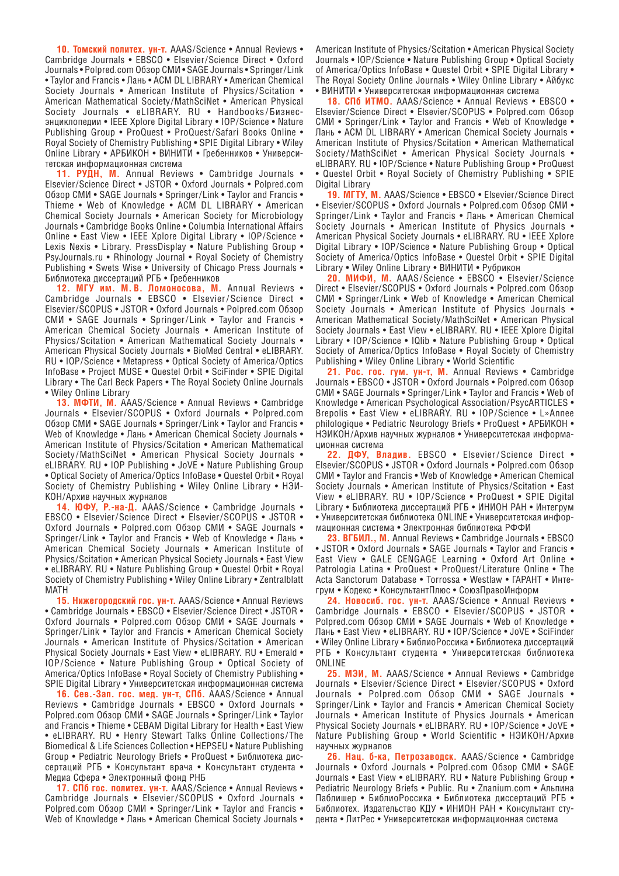10. Томский политех. ун-т. AAAS/Science • Annual Reviews • Cambridge Journals • EBSCO • Elsevier/Science Direct • Oxford Journals • Polpred.com Обзор СМИ • SAGE Journals • Springer / Link • Taylor and Francis • Лань • ACM DL LIBRARY • American Chemical Society Journals • American Institute of Physics/Scitation • American Mathematical Society / MathSciNet • American Physical Society Journals • eLIBRARY. RU • Handbooks/Бизнесэнциклопедии • IEEE Xplore Digital Library • IOP / Science • Nature Publishing Group • ProQuest • ProQuest/Safari Books Online • Royal Society of Chemistry Publishing • SPIE Digital Library • Wiley Online Library • АРБИКОН • ВИНИТИ • Гребенников • Университетская информационная система

**11. РУДН, М.** Annual Reviews • Cambridge Journals • Elsevier/Science Direct • JSTOR • Oxford Journals • Polpred.com Обзор СМИ • SAGE Journals • Springer / Link • Taylor and Francis • Thieme • Web of Knowledge • ACM DL LIBRARY • American Chemical Society Journals • American Society for Microbiology Journals • Cambridge Books Online • Columbia International Affairs Online • East View • IEEE Xplore Digital Library • IOP/Science • Lexis Nexis • Library. PressDisplay • Nature Publishing Group • PsyJournals.ru • Rhinology Journal • Royal Society of Chemistry Publishing • Swets Wise • University of Chicago Press Journals • Библиотека диссертаций РГБ • Гребенников

**12. МГУ им. М. В. Ломоносова, М.** Annual Reviews • Cambridge Journals • EBSCO • Elsevier/Science Direct • Elsevier/SCOPUS • JSTOR • Oxford Journals • Polpred.com 0630p СМИ • SAGE Journals • Springer / Link • Taylor and Francis • American Chemical Society Journals • American Institute of Physics/Scitation • American Mathematical Society Journals • American Physical Society Journals • BioMed Central • eLIBRARY. RU • IOP/Science • Metapress • Optical Society of America/Optics InfoBase • Project MUSE • Questel Orbit • SciFinder • SPIE Digital Library • The Carl Beck Papers • The Royal Society Online Journals • Wiley Online Library

13. МФТИ, М. AAAS/Science • Annual Reviews • Cambridge Journals • Elsevier / SCOPUS • Oxford Journals • Polpred.com Обзор СМИ • SAGE Journals • Springer / Link • Taylor and Francis • Web of Knowledge • Лань • American Chemical Society Journals • American Institute of Physics / Scitation • American Mathematical Society/MathSciNet • American Physical Society Journals • eLIBRARY. RU • IOP Publishing • JoVE • Nature Publishing Group • Optical Society of America / Optics InfoBase • Questel Orbit • Royal Society of Chemistry Publishing • Wiley Online Library • НЭИ-КОН/Архив научных журналов

**14. ЮФУ, Р.-на-Д.** AAAS / Science • Cambridge Journals • EBSCO • Elsevier/Science Direct • Elsevier/SCOPUS • JSTOR • Oxford Journals • Polpred.com Обзор СМИ • SAGE Journals • Springer/Link • Taylor and Francis • Web of Knowledge • Лань • American Chemical Society Journals • American Institute of Physics / Scitation • American Physical Society Journals • East View • eLIBRARY. RU • Nature Publishing Group • Questel Orbit • Royal Society of Chemistry Publishing • Wiley Online Library • Zentralblatt MATH

15. Нижегородский гос. ун-т. AAAS/Science • Annual Reviews • Cambridge Journals • EBSCO • Elsevier/Science Direct • JSTOR • Oxford Journals • Polpred.com Обзор СМИ • SAGE Journals • Springer/Link • Taylor and Francis • American Chemical Society Journals • American Institute of Physics / Scitation • American Physical Society Journals • East View • eLIBRARY. RU • Emerald • IOP/Science • Nature Publishing Group • Optical Society of America/Optics InfoBase • Royal Society of Chemistry Publishing • SPIE Digital Library • Университетская информационная система

**16. Сев.-Зап. гос. мед. ун-т, СПб.** AAAS / Science • Annual Reviews • Cambridge Journals • EBSCO • Oxford Journals • Polpred.com Обзор СМИ • SAGE Journals • Springer / Link • Taylor and Francis • Thieme • CEBAM Digital Library for Health • East View • eLIBRARY. RU • Henry Stewart Talks Online Collections/The Biomedical & Life Sciences Collection • HEPSEU • Nature Publishing Group • Pediatric Neurology Briefs • ProQuest • Библиотека диссертаций РГБ • Консультант врача • Консультант студента • Медиа Сфера • Электронный фонд РНБ

17. СПб гос. политех. ун-т. AAAS/Science • Annual Reviews • Cambridge Journals • Elsevier/SCOPUS • Oxford Journals • Polpred.com Oбзор СМИ • Springer/Link • Taylor and Francis • Web of Knowledge • Лань • American Chemical Society Journals • American Institute of Physics/Scitation • American Physical Society Journals • IOP/Science • Nature Publishing Group • Optical Society of America/Optics InfoBase • Questel Orbit • SPIE Digital Library • The Royal Society Online Journals • Wiley Online Library • Айбукс • ВИНИТИ • Университетская информационная система

18. СПб ИТМО. AAAS/Science • Annual Reviews • EBSCO • Elsevier/Science Direct • Elsevier/SCOPUS • Polpred.com 0630p СМИ • Springer / Link • Taylor and Francis • Web of Knowledge • Лань • ACM DL LIBRARY • American Chemical Society Journals • American Institute of Physics / Scitation • American Mathematical Society/MathSciNet • American Physical Society Journals • eLIBRARY. RU • IOP/Science • Nature Publishing Group • ProQuest • Questel Orbit • Royal Society of Chemistry Publishing • SPIE Digital Library

**19. МГТУ, М. AAAS/Science • EBSCO • Elsevier/Science Direct** • Elsevier/SCOPUS • Oxford Journals • Polpred.com Oбзор СМИ • Springer / Link • Taylor and Francis • Лань • American Chemical Society Journals • American Institute of Physics Journals • American Physical Society Journals • eLIBRARY. RU • IEEE Xplore Digital Library • IOP/Science • Nature Publishing Group • Optical Society of America/Optics InfoBase • Questel Orbit • SPIE Digital Library • Wiley Online Library • ВИНИТИ • Рубрикон

**20. МИФИ, М.** AAAS / Science • EBSCO • Elsevier / Science Direct • Elsevier/SCOPUS • Oxford Journals • Polpred.com 0630p СМИ • Springer / Link • Web of Knowledge • American Chemical Society Journals • American Institute of Physics Journals • American Mathematical Society/MathSciNet • American Physical Society Journals • East View • eLIBRARY. RU • IEEE Xplore Digital Library • IOP/Science • IQlib • Nature Publishing Group • Optical Society of America/Optics InfoBase • Royal Society of Chemistry Publishing • Wiley Online Library • World Scientific

**21. Рос. гос. гум. ун-т, М.** Annual Reviews • Cambridge Journals • EBSCO • JSTOR • Oxford Journals • Polpred.com Обзор СМИ • SAGE Journals • Springer / Link • Taylor and Francis • Web of Knowledge • American Psychological Association/PsycARTICLES • Brepolis • East View • eLIBRARY. RU • IOP / Science • L»Annee philologique • Pediatric Neurology Briefs • ProQuest • АРБИКОН • НЭИКОН/Архив научных журналов • Университетская информационная система

22. ДФУ, Владив. EBSCO • Elsevier/Science Direct • Elsevier/SCOPUS • JSTOR • Oxford Journals • Polpred.com Oбзор СМИ • Taylor and Francis • Web of Knowledge • American Chemical Society Journals • American Institute of Physics / Scitation • East View • eLIBRARY. RU • IOP / Science • ProQuest • SPIE Digital Library • Библиотека диссертаций РГБ • ИНИОН РАН • Интегрум • Университетская библиотека ONLINE • Университетская информационная система • Электронная библиотека РФФИ

**23. ВГБИЛ., М.** Annual Reviews • Cambridge Journals • EBSCO • JSTOR • Oxford Journals • SAGE Journals • Taylor and Francis • East View • GALE CENGAGE Learning • Oxford Art Online • Patrologia Latina • ProQuest • ProQuest/Literature Online • The Acta Sanctorum Database • Torrossa • Westlaw • ГАРАНТ • Интегрум • Кодекс • КонсультантПлюс • СоюзПравоИнформ

**24. Новосиб. гос. ун-т.** AAAS / Science • Annual Reviews • Cambridge Journals • EBSCO • Elsevier/SCOPUS • JSTOR • Polpred.com Обзор СМИ • SAGE Journals • Web of Knowledge • Лань • East View • eLIBRARY. RU • IOP / Science • JoVE • SciFinder • Wiley Online Library • БиблиоРоссика • Библиотека диссертаций РГБ • Консультант студента • Университетская библиотека ONLINE

**25. МЭИ, М. AAAS/Science • Annual Reviews • Cambridge** Journals • Elsevier/Science Direct • Elsevier/SCOPUS • Oxford Journals • Polpred.com Обзор СМИ • SAGE Journals • Springer/Link • Taylor and Francis • American Chemical Society Journals • American Institute of Physics Journals • American Physical Society Journals • eLIBRARY. RU • IOP/Science • JoVE • Nature Publishing Group • World Scientific • НЭИКОН/Архив научных журналов

**26. Нац. б-ка, Петрозаводск.** AAAS / Science • Cambridge Journals • Oxford Journals • Polpred.com Обзор СМИ • SAGE Journals • East View • eLIBRARY. RU • Nature Publishing Group • Pediatric Neurology Briefs • Public. Ru • Znanium.com • Альпина Паблишер • БиблиоРоссика • Библиотека диссертаций РГБ • Библиотех. Издательство КДУ • ИНИОН РАН • Консультант студента • ЛитРес • Университетская информационная система